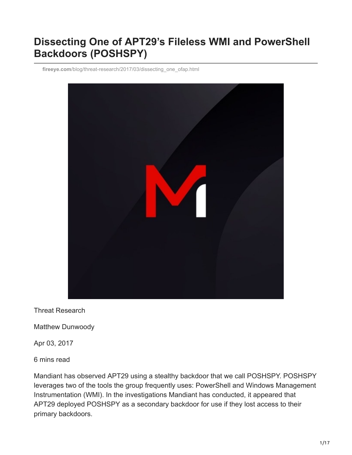# **Dissecting One of APT29's Fileless WMI and PowerShell Backdoors (POSHSPY)**

**fireeye.com**[/blog/threat-research/2017/03/dissecting\\_one\\_ofap.html](https://www.fireeye.com/blog/threat-research/2017/03/dissecting_one_ofap.html)



Threat Research

Matthew Dunwoody

Apr 03, 2017

6 mins read

Mandiant has observed APT29 using a stealthy backdoor that we call POSHSPY. POSHSPY leverages two of the tools the group frequently uses: PowerShell and Windows Management Instrumentation (WMI). In the investigations Mandiant has conducted, it appeared that APT29 deployed POSHSPY as a secondary backdoor for use if they lost access to their primary backdoors.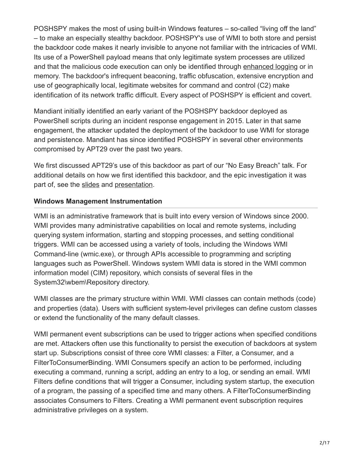POSHSPY makes the most of using built-in Windows features – so-called "living off the land" – to make an especially stealthy backdoor. POSHSPY's use of WMI to both store and persist the backdoor code makes it nearly invisible to anyone not familiar with the intricacies of WMI. Its use of a PowerShell payload means that only legitimate system processes are utilized and that the malicious code execution can only be identified through [enhanced logging](https://www.fireeye.com/resources/greater_visibilityt) or in memory. The backdoor's infrequent beaconing, traffic obfuscation, extensive encryption and use of geographically local, legitimate websites for command and control (C2) make identification of its network traffic difficult. Every aspect of POSHSPY is efficient and covert.

Mandiant initially identified an early variant of the POSHSPY backdoor deployed as PowerShell scripts during an incident response engagement in 2015. Later in that same engagement, the attacker updated the deployment of the backdoor to use WMI for storage and persistence. Mandiant has since identified POSHSPY in several other environments compromised by APT29 over the past two years.

We first discussed APT29's use of this backdoor as part of our "No Easy Breach" talk. For additional details on how we first identified this backdoor, and the epic investigation it was part of, see the [slides](https://www.slideshare.net/MatthewDunwoody1/no-easy-breach-derby-con-2016) and [presentation.](https://www.youtube.com/watch?v=Ldzr0bfGtHc)

# **Windows Management Instrumentation**

WMI is an administrative framework that is built into every version of Windows since 2000. WMI provides many administrative capabilities on local and remote systems, including querying system information, starting and stopping processes, and setting conditional triggers. WMI can be accessed using a variety of tools, including the Windows WMI Command-line (wmic.exe), or through APIs accessible to programming and scripting languages such as PowerShell. Windows system WMI data is stored in the WMI common information model (CIM) repository, which consists of several files in the System32\wbem\Repository directory.

WMI classes are the primary structure within WMI. WMI classes can contain methods (code) and properties (data). Users with sufficient system-level privileges can define custom classes or extend the functionality of the many default classes.

WMI permanent event subscriptions can be used to trigger actions when specified conditions are met. Attackers often use this functionality to persist the execution of backdoors at system start up. Subscriptions consist of three core WMI classes: a Filter, a Consumer, and a FilterToConsumerBinding. WMI Consumers specify an action to be performed, including executing a command, running a script, adding an entry to a log, or sending an email. WMI Filters define conditions that will trigger a Consumer, including system startup, the execution of a program, the passing of a specified time and many others. A FilterToConsumerBinding associates Consumers to Filters. Creating a WMI permanent event subscription requires administrative privileges on a system.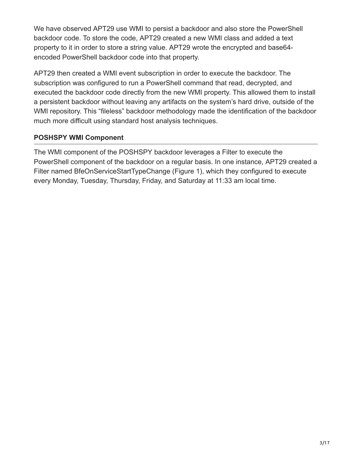We have observed APT29 use WMI to persist a backdoor and also store the PowerShell backdoor code. To store the code, APT29 created a new WMI class and added a text property to it in order to store a string value. APT29 wrote the encrypted and base64 encoded PowerShell backdoor code into that property.

APT29 then created a WMI event subscription in order to execute the backdoor. The subscription was configured to run a PowerShell command that read, decrypted, and executed the backdoor code directly from the new WMI property. This allowed them to install a persistent backdoor without leaving any artifacts on the system's hard drive, outside of the WMI repository. This "fileless" backdoor methodology made the identification of the backdoor much more difficult using standard host analysis techniques.

# **POSHSPY WMI Component**

The WMI component of the POSHSPY backdoor leverages a Filter to execute the PowerShell component of the backdoor on a regular basis. In one instance, APT29 created a Filter named BfeOnServiceStartTypeChange (Figure 1), which they configured to execute every Monday, Tuesday, Thursday, Friday, and Saturday at 11:33 am local time.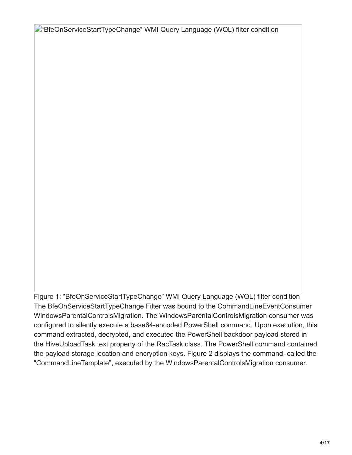**D**"BfeOnServiceStartTypeChange" WMI Query Language (WQL) filter condition

Figure 1: "BfeOnServiceStartTypeChange" WMI Query Language (WQL) filter condition The BfeOnServiceStartTypeChange Filter was bound to the CommandLineEventConsumer WindowsParentalControlsMigration. The WindowsParentalControlsMigration consumer was configured to silently execute a base64-encoded PowerShell command. Upon execution, this command extracted, decrypted, and executed the PowerShell backdoor payload stored in the HiveUploadTask text property of the RacTask class. The PowerShell command contained the payload storage location and encryption keys. Figure 2 displays the command, called the "CommandLineTemplate", executed by the WindowsParentalControlsMigration consumer.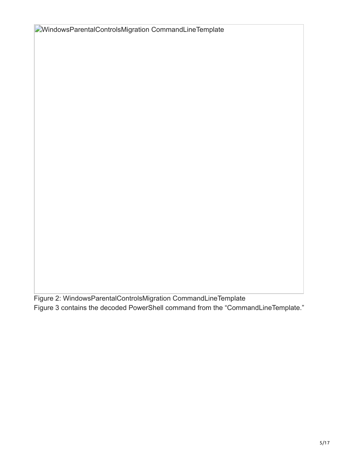**EMindowsParentalControlsMigration CommandLineTemplate** 

Figure 2: WindowsParentalControlsMigration CommandLineTemplate Figure 3 contains the decoded PowerShell command from the "CommandLineTemplate."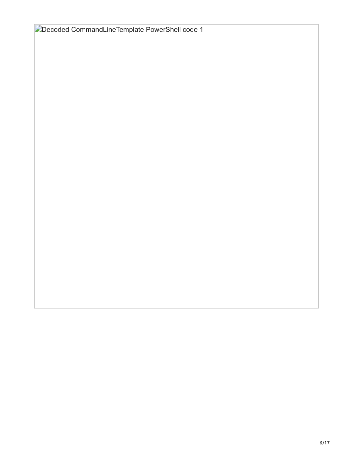| Decoded CommandLineTemplate PowerShell code 1 |
|-----------------------------------------------|
|-----------------------------------------------|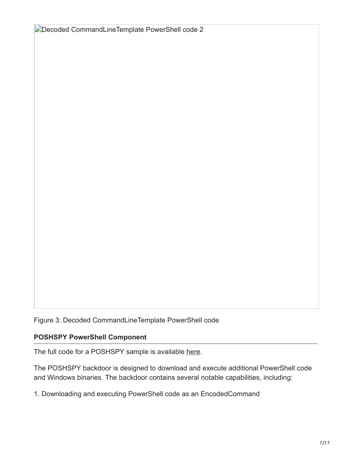Decoded CommandLineTemplate PowerShell code 2

Figure 3: Decoded CommandLineTemplate PowerShell code

#### **POSHSPY PowerShell Component**

The full code for a POSHSPY sample is available [here.](https://github.com/matthewdunwoody/POSHSPY/blob/master/poshspy_redacted.txt)

The POSHSPY backdoor is designed to download and execute additional PowerShell code and Windows binaries. The backdoor contains several notable capabilities, including:

1. Downloading and executing PowerShell code as an EncodedCommand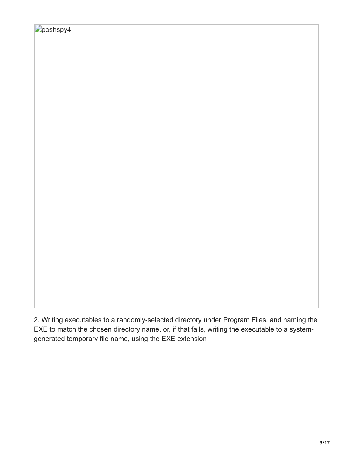2. Writing executables to a randomly-selected directory under Program Files, and naming the EXE to match the chosen directory name, or, if that fails, writing the executable to a systemgenerated temporary file name, using the EXE extension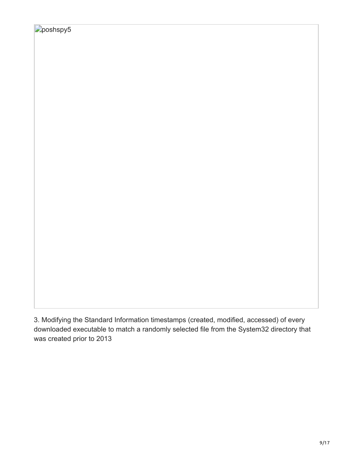3. Modifying the Standard Information timestamps (created, modified, accessed) of every downloaded executable to match a randomly selected file from the System32 directory that was created prior to 2013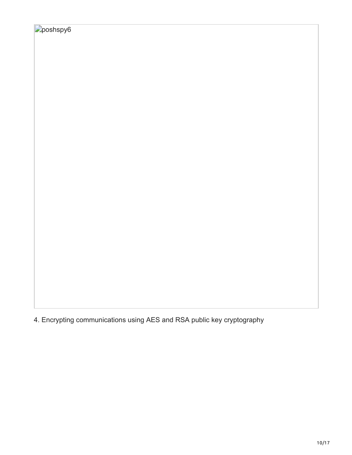|  | 4. Encrypting communications using AES and RSA public key cryptography |  |  |
|--|------------------------------------------------------------------------|--|--|
|  |                                                                        |  |  |
|  |                                                                        |  |  |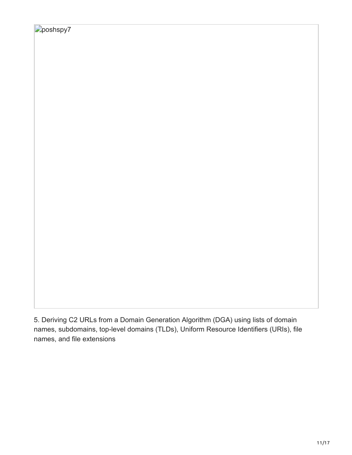5. Deriving C2 URLs from a Domain Generation Algorithm (DGA) using lists of domain names, subdomains, top-level domains (TLDs), Uniform Resource Identifiers (URIs), file names, and file extensions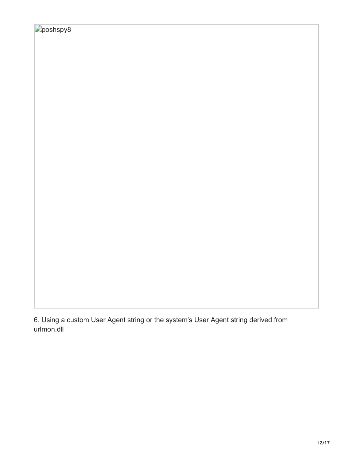6. Using a custom User Agent string or the system's User Agent string derived from urlmon.dll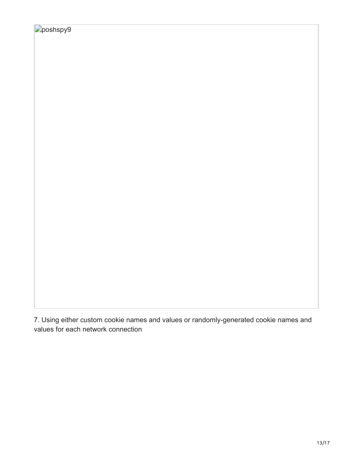7. Using either custom cookie names and values or randomly-generated cookie names and values for each network connection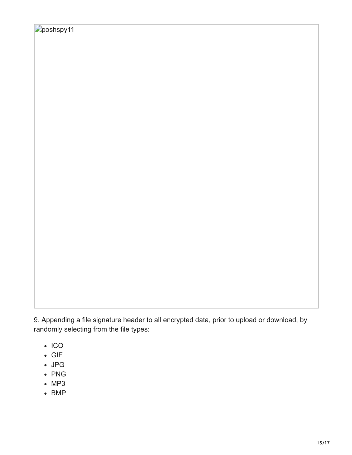9. Appending a file signature header to all encrypted data, prior to upload or download, by randomly selecting from the file types:

- $\cdot$  ICO
- GIF
- JPG
- PNG
- $-MP3$
- $-BMP$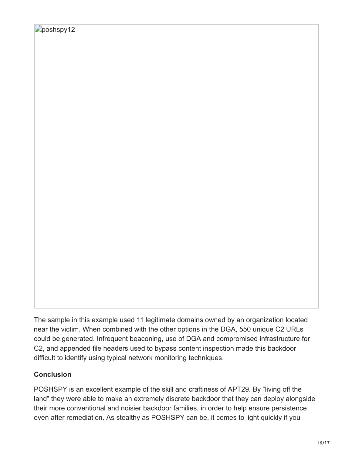The [sample](https://github.com/matthewdunwoody/POSHSPY/blob/master/poshspy_redacted.txt) in this example used 11 legitimate domains owned by an organization located near the victim. When combined with the other options in the DGA, 550 unique C2 URLs could be generated. Infrequent beaconing, use of DGA and compromised infrastructure for C2, and appended file headers used to bypass content inspection made this backdoor difficult to identify using typical network monitoring techniques.

# **Conclusion**

POSHSPY is an excellent example of the skill and craftiness of APT29. By "living off the land" they were able to make an extremely discrete backdoor that they can deploy alongside their more conventional and noisier backdoor families, in order to help ensure persistence even after remediation. As stealthy as POSHSPY can be, it comes to light quickly if you